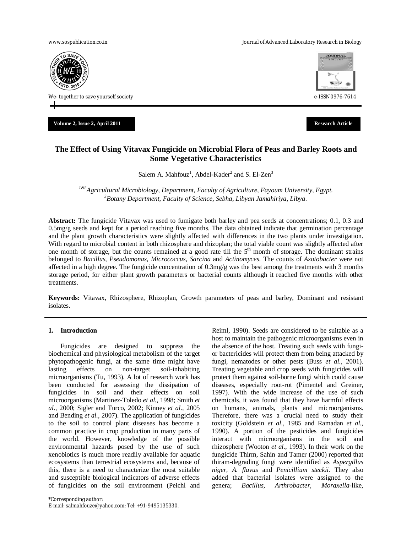www.sospublication.co.in **Variable 2018** and the Journal of Advanced Laboratory Research in Biology



**Volume 2, Issue 2, April 2011 Research Article**



# **The Effect of Using Vitavax Fungicide on Microbial Flora of Peas and Barley Roots and Some Vegetative Characteristics**

Salem A. Mahfouz<sup>1</sup>, Abdel-Kader<sup>2</sup> and S. El-Zen<sup>3</sup>

*1&2Agricultural Microbiology, Department, Faculty of Agriculture, Fayoum University, Egypt. <sup>3</sup>Botany Department, Faculty of Science, Sebha, Libyan Jamahiriya, Libya*.

**Abstract:** The fungicide Vitavax was used to fumigate both barley and pea seeds at concentrations; 0.1, 0.3 and 0.5mg/g seeds and kept for a period reaching five months. The data obtained indicate that germination percentage and the plant growth characteristics were slightly affected with differences in the two plants under investigation. With regard to microbial content in both rhizosphere and rhizoplan; the total viable count was slightly affected after one month of storage, but the counts remained at a good rate till the 5<sup>th</sup> month of storage. The dominant strains belonged to *Bacillus*, *Pseudomonas*, *Micrococcus*, *Sarcina* and *Actinomyces*. The counts of *Azotobacter* were not affected in a high degree. The fungicide concentration of  $0.3mg/g$  was the best among the treatments with 3 months storage period, for either plant growth parameters or bacterial counts although it reached five months with other treatments.

**Keywords:** Vitavax, Rhizosphere, Rhizoplan, Growth parameters of peas and barley, Dominant and resistant isolates.

# **1. Introduction**

Fungicides are designed to suppress the biochemical and physiological metabolism of the target phytopathogenic fungi, at the same time might have lasting effects on non-target soil-inhabiting microorganisms (Tu, 1993). A lot of research work has been conducted for assessing the dissipation of fungicides in soil and their effects on soil microorganisms (Martinez-Toledo *et al.,* 1998; Smith *et al.,* 2000; Sigler and Turco, 2002; Kinney *et al.,* 2005 and Bending *et al.,* 2007). The application of fungicides to the soil to control plant diseases has become a common practice in crop production in many parts of the world. However, knowledge of the possible environmental hazards posed by the use of such xenobiotics is much more readily available for aquatic ecosystems than terrestrial ecosystems and, because of this, there is a need to characterize the most suitable and susceptible biological indicators of adverse effects of fungicides on the soil environment (Peichl and Reiml, 1990). Seeds are considered to be suitable as a host to maintain the pathogenic microorganisms even in the absence of the host. Treating such seeds with fungior bactericides will protect them from being attacked by fungi, nematodes or other pests (Buss *et al.,* 2001). Treating vegetable and crop seeds with fungicides will protect them against soil-borne fungi which could cause diseases, especially root-rot (Pimentel and Greiner, 1997). With the wide increase of the use of such chemicals, it was found that they have harmful effects on humans, animals, plants and microorganisms. Therefore, there was a crucial need to study their toxicity (Goldstein *et al.,* 1985 and Ramadan *et al.*, 1990). A portion of the pesticides and fungicides interact with microorganisms in the soil and rhizosphere (Wooton *et al.,* 1993). In their work on the fungicide Thirm, Sahin and Tamer (2000) reported that thiram-degrading fungi were identified as *Aspergillus niger, A. flavus* and *Penicillium steckii.* They also added that bacterial isolates were assigned to the genera; *Bacillus, Arthrobacter, Moraxella-*like,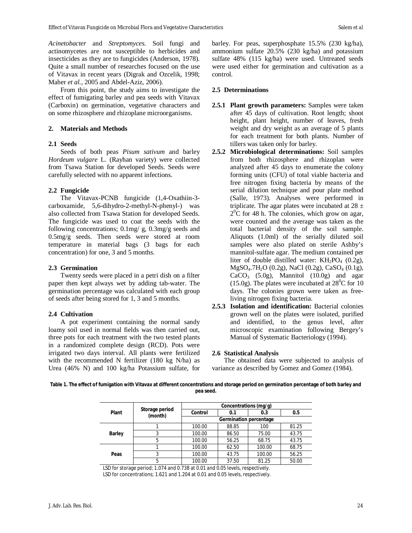*Acinetobacter* and *Streptomyces.* Soil fungi and actinomycetes are not susceptible to herbicides and insecticides as they are to fungicides (Anderson, 1978). Quite a small number of researches focused on the use of Vitavax in recent years (Digrak and Ozcelik, 1998; Maher *et al.,* 2005 and Abdel-Aziz, 2006).

From this point, the study aims to investigate the effect of fumigating barley and pea seeds with Vitavax (Carboxin) on germination, vegetative characters and on some rhizosphere and rhizoplane microorganisms.

#### **2. Materials and Methods**

#### **2.1 Seeds**

Seeds of both peas *Pisum sativum* and barley *Hordeum vulgare* L. (Rayhan variety) were collected from Tsawa Station for developed Seeds. Seeds were carefully selected with no apparent infections.

# **2.2 Fungicide**

The Vitavax-PCNB fungicide (1,4-Oxathiin-3 carboxamide, 5,6-dihydro-2-methyl-N-phenyl-) was also collected from Tsawa Station for developed Seeds. The fungicide was used to coat the seeds with the following concentrations; 0.1mg/ g, 0.3mg/g seeds and 0.5mg/g seeds. Then seeds were stored at room temperature in material bags (3 bags for each concentration) for one, 3 and 5 months.

#### **2.3 Germination**

Twenty seeds were placed in a petri dish on a filter paper then kept always wet by adding tab-water. The germination percentage was calculated with each group of seeds after being stored for 1, 3 and 5 months.

#### **2.4 Cultivation**

A pot experiment containing the normal sandy loamy soil used in normal fields was then carried out, three pots for each treatment with the two tested plants in a randomized complete design (RCD). Pots were irrigated two days interval. All plants were fertilized with the recommended N fertilizer (180 kg N/ha) as Urea (46% N) and 100 kg/ha Potassium sulfate, for

barley. For peas, superphosphate 15.5% (230 kg/ha), ammonium sulfate 20.5% (230 kg/ha) and potassium sulfate 48% (115 kg/ha) were used. Untreated seeds were used either for germination and cultivation as a control.

#### **2.5 Determinations**

- **2.5.1 Plant growth parameters:** Samples were taken after 45 days of cultivation. Root length; shoot height, plant height, number of leaves, fresh weight and dry weight as an average of 5 plants for each treatment for both plants. Number of tillers was taken only for barley.
- **2.5.2 Microbiological determinations:** Soil samples from both rhizosphere and rhizoplan were analyzed after 45 days to enumerate the colony forming units (CFU) of total viable bacteria and free nitrogen fixing bacteria by means of the serial dilution technique and pour plate method (Salle, 1973). Analyses were performed in triplicate. The agar plates were incubated at  $28 \pm$  $2^{0}$ C for 48 h. The colonies, which grow on agar, were counted and the average was taken as the total bacterial density of the soil sample. Aliquots (1.0ml) of the serially diluted soil samples were also plated on sterile Ashby's mannitol-sulfate agar. The medium contained per liter of double distilled water:  $KH_2PO_4$  (0.2g), MgSO4.7H2O (0.2g), NaCl (0.2g), CaSO<sup>4</sup> (0.1g),  $CaCO<sub>3</sub>$  (5.0g), Mannitol (10.0g) and agar (15.0g). The plates were incubated at  $28^{\circ}$ C for 10 days. The colonies grown were taken as freeliving nitrogen fixing bacteria.
- **2.5.3 Isolation and identification:** Bacterial colonies grown well on the plates were isolated, purified and identified, to the genus level, after microscopic examination following Bergey's Manual of Systematic Bacteriology (1994).

#### **2.6 Statistical Analysis**

The obtained data were subjected to analysis of variance as described by Gomez and Gomez (1984).

**Table 1. The effect of fumigation with Vitavax at different concentrations and storage period on germination percentage of both barley and pea seed.**

| Plant         | Storage period<br>(month) | Concentrations (mg/g)  |       |        |       |  |
|---------------|---------------------------|------------------------|-------|--------|-------|--|
|               |                           | <b>Control</b>         | 0.1   | 0.3    | 0.5   |  |
|               |                           | Germination percentage |       |        |       |  |
|               |                           | 100.00                 | 88.85 | 100    | 81.25 |  |
| <b>Barley</b> | 3                         | 100.00                 | 86.50 | 75.00  | 43.75 |  |
|               | 5                         | 100.00                 | 56.25 | 68.75  | 43.75 |  |
|               |                           | 100.00                 | 62.50 | 100.00 | 68.75 |  |
| Peas          | 3                         | 100.00                 | 43.75 | 100.00 | 56.25 |  |
|               | 5                         | 100.00                 | 37.50 | 81.25  | 50.00 |  |

LSD for storage period; 1.074 and 0.738 at 0.01 and 0.05 levels, respectively. LSD for concentrations; 1.621 and 1.204 at 0.01 and 0.05 levels, respectively.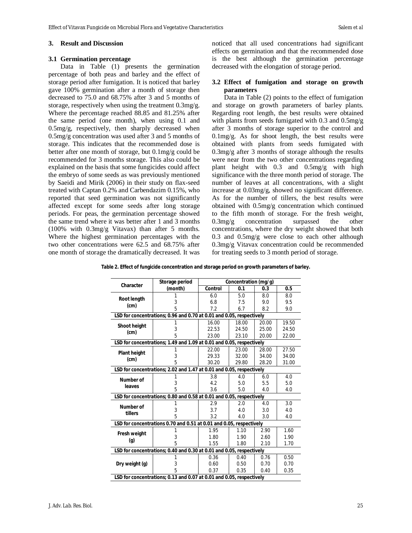# **3. Result and Discussion**

#### **3.1 Germination percentage**

Data in Table (1) presents the germination percentage of both peas and barley and the effect of storage period after fumigation. It is noticed that barley gave 100% germination after a month of storage then decreased to 75.0 and 68.75% after 3 and 5 months of storage, respectively when using the treatment 0.3mg/g. Where the percentage reached 88.85 and 81.25% after the same period (one month), when using 0.1 and 0.5mg/g, respectively, then sharply decreased when 0.5mg/g concentration was used after 3 and 5 months of storage. This indicates that the recommended dose is better after one month of storage, but 0.1mg/g could be recommended for 3 months storage. This also could be explained on the basis that some fungicides could affect the embryo of some seeds as was previously mentioned by Saeidi and Mirik (2006) in their study on flax-seed treated with Captan 0.2% and Carbendazim 0.15%, who reported that seed germination was not significantly affected except for some seeds after long storage periods. For peas, the germination percentage showed the same trend where it was better after 1 and 3 months (100% with 0.3mg/g Vitavax) than after 5 months. Where the highest germination percentages with the two other concentrations were 62.5 and 68.75% after one month of storage the dramatically decreased. It was

noticed that all used concentrations had significant effects on germination and that the recommended dose is the best although the germination percentage decreased with the elongation of storage period.

# **3.2 Effect of fumigation and storage on growth parameters**

Data in Table (2) points to the effect of fumigation and storage on growth parameters of barley plants. Regarding root length, the best results were obtained with plants from seeds fumigated with 0.3 and 0.5mg/g after 3 months of storage superior to the control and 0.1mg/g. As for shoot length, the best results were obtained with plants from seeds fumigated with 0.3mg/g after 3 months of storage although the results were near from the two other concentrations regarding plant height with 0.3 and 0.5mg/g with high significance with the three month period of storage. The number of leaves at all concentrations, with a slight increase at 0.03mg/g, showed no significant difference. As for the number of tillers, the best results were obtained with 0.5mg/g concentration which continued to the fifth month of storage. For the fresh weight, 0.3mg/g concentration surpassed the other concentrations, where the dry weight showed that both 0.3 and 0.5mg/g were close to each other although 0.3mg/g Vitavax concentration could be recommended for treating seeds to 3 month period of storage.

| Table 2. Effect of fungicide concentration and storage period on growth parameters of barley. |  |  |
|-----------------------------------------------------------------------------------------------|--|--|
|                                                                                               |  |  |

|                     | Storage period                                                       |         | Concentration (mg/g) |       |       |
|---------------------|----------------------------------------------------------------------|---------|----------------------|-------|-------|
| Character           | (month)                                                              | Control | 0.1                  | 0.3   | 0.5   |
|                     |                                                                      | 6.0     | 5.0                  | 8.0   | 8.0   |
| <b>Root length</b>  | 3                                                                    | 6.8     | 7.5                  | 9.0   | 9.5   |
| (cm)                | 5                                                                    | 7.2     | 6.7                  | 8.2   | 9.0   |
|                     | LSD for concentrations; 0.96 and 0.70 at 0.01 and 0.05, respectively |         |                      |       |       |
|                     |                                                                      | 16.00   | 18.00                | 20.00 | 19.50 |
| <b>Shoot height</b> | 3                                                                    | 22.53   | 24.50                | 25.00 | 24.50 |
| (cm)                | 5                                                                    | 23.00   | 23.10                | 20.00 | 22.00 |
|                     | LSD for concentrations; 1.49 and 1.09 at 0.01 and 0.05, respectively |         |                      |       |       |
| <b>Plant height</b> |                                                                      | 22.00   | 23.00                | 28.00 | 27.50 |
| (cm)                | 3                                                                    | 29.33   | 32.00                | 34.00 | 34.00 |
|                     | 5                                                                    | 30.20   | 29.80                | 28.20 | 31.00 |
|                     | LSD for concentrations; 2.02 and 1.47 at 0.01 and 0.05, respectively |         |                      |       |       |
| <b>Number of</b>    |                                                                      | 3.8     | 4.0                  | 6.0   | 4.0   |
| leaves              | 3                                                                    | 4.2     | 5.0                  | 5.5   | 5.0   |
|                     | 5                                                                    | 3.6     | 5.0                  | 4.0   | 4.0   |
|                     | LSD for concentrations; 0.80 and 0.58 at 0.01 and 0.05, respectively |         |                      |       |       |
| <b>Number of</b>    |                                                                      | 2.9     | 2.0                  | 4.0   | 3.0   |
| tillers             | 3                                                                    | 3.7     | 4.0                  | 3.0   | 4.0   |
|                     | 5                                                                    | 3.2     | 4.0                  | 3.0   | 4.0   |
|                     | LSD for concentrations 0.70 and 0.51 at 0.01 and 0.05, respectively  |         |                      |       |       |
| <b>Fresh weight</b> |                                                                      | 1.95    | 1.10                 | 2.90  | 1.60  |
| $\left( q\right)$   | 3                                                                    | 1.80    | 1.90                 | 2.60  | 1.90  |
|                     | 5                                                                    | 1.55    | 1.80                 | 2.10  | 1.70  |
|                     | LSD for concentrations; 0.40 and 0.30 at 0.01 and 0.05, respectively |         |                      |       |       |
|                     |                                                                      | 0.36    | 0.40                 | 0.76  | 0.50  |
| Dry weight (g)      | 3                                                                    | 0.60    | 0.50                 | 0.70  | 0.70  |
|                     | 5                                                                    | 0.37    | 0.35                 | 0.40  | 0.35  |
|                     | LSD for concentrations; 0.13 and 0.07 at 0.01 and 0.05, respectively |         |                      |       |       |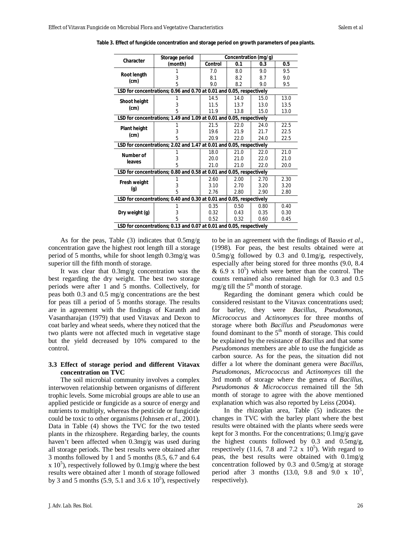| Character                                                            | Storage period                                                       | Concentration (mg/g) |      |      |      |  |
|----------------------------------------------------------------------|----------------------------------------------------------------------|----------------------|------|------|------|--|
|                                                                      | (month)                                                              | Control              | 0.1  | 0.3  | 0.5  |  |
|                                                                      |                                                                      | 7.0                  | 8.0  | 9.0  | 9.5  |  |
| Root length<br>(cm)                                                  | 3                                                                    | 8.1                  | 8.2  | 8.7  | 9.0  |  |
|                                                                      | 5                                                                    | 9.0                  | 8.2  | 9.0  | 9.5  |  |
|                                                                      | LSD for concentrations; 0.96 and 0.70 at 0.01 and 0.05, respectively |                      |      |      |      |  |
| <b>Shoot height</b>                                                  |                                                                      | 14.5                 | 14.0 | 15.0 | 13.0 |  |
| (cm)                                                                 | 3                                                                    | 11.5                 | 13.7 | 13.0 | 13.5 |  |
|                                                                      | 5                                                                    | 11.9                 | 13.8 | 15.0 | 13.0 |  |
| LSD for concentrations; 1.49 and 1.09 at 0.01 and 0.05, respectively |                                                                      |                      |      |      |      |  |
|                                                                      |                                                                      | 21.5                 | 22.0 | 24.0 | 22.5 |  |
| <b>Plant height</b><br>$\pmb{(cm)}$                                  | 3                                                                    | 19.6                 | 21.9 | 21.7 | 22.5 |  |
|                                                                      | 5                                                                    | 20.9                 | 22.0 | 24.0 | 22.5 |  |
|                                                                      | LSD for concentrations; 2.02 and 1.47 at 0.01 and 0.05, respectively |                      |      |      |      |  |
| Number of                                                            |                                                                      | 18.0                 | 21.0 | 22.0 | 21.0 |  |
| leaves                                                               | 3                                                                    | 20.0                 | 21.0 | 22.0 | 21.0 |  |
|                                                                      | 5                                                                    | 21.0                 | 21.0 | 22.0 | 20.0 |  |
|                                                                      | LSD for concentrations; 0.80 and 0.58 at 0.01 and 0.05, respectively |                      |      |      |      |  |
|                                                                      |                                                                      | 2.60                 | 2.00 | 2.70 | 2.30 |  |
| Fresh weight                                                         | 3                                                                    | 3.10                 | 2.70 | 3.20 | 3.20 |  |
| (g)                                                                  | 5                                                                    | 2.76                 | 2.80 | 2.90 | 2.80 |  |
|                                                                      | LSD for concentrations; 0.40 and 0.30 at 0.01 and 0.05, respectively |                      |      |      |      |  |
|                                                                      |                                                                      | 0.35                 | 0.50 | 0.80 | 0.40 |  |
| Dry weight (g)                                                       | 3                                                                    | 0.32                 | 0.43 | 0.35 | 0.30 |  |
|                                                                      | 5                                                                    | 0.52                 | 0.32 | 0.60 | 0.45 |  |
|                                                                      | LSD for concentrations; 0.13 and 0.07 at 0.01 and 0.05, respectively |                      |      |      |      |  |

**Table 3. Effect of fungicide concentration and storage period on growth parameters of pea plants.**

As for the peas, Table (3) indicates that 0.5mg/g concentration gave the highest root length till a storage period of 5 months, while for shoot length 0.3mg/g was superior till the fifth month of storage.

It was clear that 0.3mg/g concentration was the best regarding the dry weight. The best two storage periods were after 1 and 5 months. Collectively, for peas both 0.3 and 0.5 mg/g concentrations are the best for peas till a period of 5 months storage. The results are in agreement with the findings of Karanth and Vasantharajan (1979) that used Vitavax and Dexon to coat barley and wheat seeds, where they noticed that the two plants were not affected much in vegetative stage but the yield decreased by 10% compared to the control.

### **3.3 Effect of storage period and different Vitavax concentration on TVC**

The soil microbial community involves a complex interwoven relationship between organisms of different trophic levels. Some microbial groups are able to use an applied pesticide or fungicide as a source of energy and nutrients to multiply, whereas the pesticide or fungicide could be toxic to other organisms (Johnsen *et al*., 2001). Data in Table (4) shows the TVC for the two tested plants in the rhizosphere. Regarding barley, the counts haven't been affected when 0.3mg/g was used during all storage periods. The best results were obtained after 3 months followed by 1 and 5 months (8.5, 6.7 and 6.4 x  $10<sup>5</sup>$ ), respectively followed by 0.1mg/g where the best results were obtained after 1 month of storage followed by 3 and 5 months  $(5.9, 5.1 \text{ and } 3.6 \times 10^5)$ , respectively to be in an agreement with the findings of Bassio *et al*., (1998). For peas, the best results obtained were at  $0.5 \text{mg/g}$  followed by 0.3 and  $0.1 \text{mg/g}$ , respectively, especially after being stored for three months (9.0, 8.4  $\&$  6.9 x 10<sup>5</sup>) which were better than the control. The counts remained also remained high for 0.3 and 0.5 mg/g till the  $5<sup>th</sup>$  month of storage.

Regarding the dominant genera which could be considered resistant to the Vitavax concentrations used; for barley, they were *Bacillus*, *Pseudomonas*, *Micrococcus* and *Actinomyces* for three months of storage where both *Bacillus* and *Pseudomonas* were found dominant to the 5<sup>th</sup> month of storage. This could be explained by the resistance of *Bacillus* and that some *Pseudomonas* members are able to use the fungicide as carbon source. As for the peas, the situation did not differ a lot where the dominant genera were *Bacillus*, *Pseudomonas*, *Micrococcus* and *Actinomyces* till the 3rd month of storage where the genera of *Bacillus, Pseudomonas & Micrococcus* remained till the 5th month of storage to agree with the above mentioned explanation which was also reported by Leiss (2004).

In the rhizoplan area, Table (5) indicates the changes in TVC with the barley plant where the best results were obtained with the plants where seeds were kept for 3 months. For the concentrations; 0.1mg/g gave the highest counts followed by 0.3 and 0.5mg/g, respectively (11.6, 7.8 and 7.2  $\times$  10<sup>5</sup>). With regard to peas, the best results were obtained with 0.1mg/g concentration followed by 0.3 and 0.5mg/g at storage period after 3 months (13.0, 9.8 and 9.0 x  $10^5$ , respectively).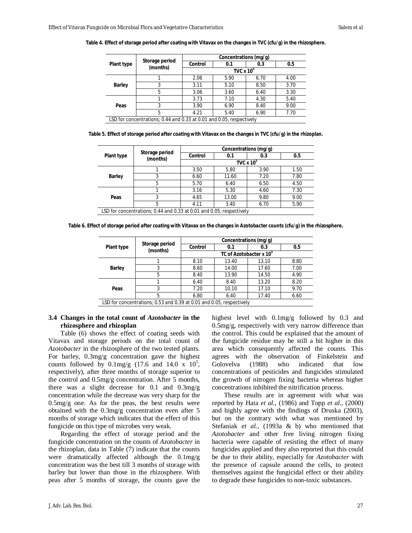| Plant type    | Storage period<br>(months)                                           | Concentrations (mg/g)      |      |      |      |  |
|---------------|----------------------------------------------------------------------|----------------------------|------|------|------|--|
|               |                                                                      | Control                    | 0.1  | 0.3  | 0.5  |  |
|               |                                                                      | TVC $\times$ 10 $^{\circ}$ |      |      |      |  |
|               |                                                                      | 2.06                       | 5.90 | 6.70 | 4.00 |  |
| <b>Barley</b> |                                                                      | 3.11                       | 5.10 | 8.50 | 3.70 |  |
|               | 5                                                                    | 3.06                       | 3.60 | 6.40 | 3.30 |  |
|               |                                                                      | 3.73                       | 7.10 | 4.30 | 5.40 |  |
| Peas          |                                                                      | 3.90                       | 6.90 | 8.40 | 9.00 |  |
|               | 5                                                                    | 4.21                       | 5.40 | 6.90 | 7.70 |  |
|               | LSD for concentrations; 0.44 and 0.33 at 0.01 and 0.05, respectively |                            |      |      |      |  |

**Table 4. Effect of storage period after coating with Vitavax on the changes in TVC (cfu/g) in the rhizosphere.**

**Table 5. Effect of storage period after coating with Vitavax on the changes in TVC (cfu/g) in the rhizoplan.**

| Plant type    | Storage period<br>(months)                                           | Concentrations (mg/g)      |       |      |      |  |
|---------------|----------------------------------------------------------------------|----------------------------|-------|------|------|--|
|               |                                                                      | <b>Control</b>             | 0.1   | 0.3  | 0.5  |  |
|               |                                                                      | TVC $\times$ 10 $^{\circ}$ |       |      |      |  |
|               |                                                                      | 3.50                       | 5.80  | 3.90 | 1.50 |  |
| <b>Barley</b> | 3                                                                    | 6.60                       | 11.60 | 7.20 | 7.80 |  |
|               | 5                                                                    | 5.70                       | 6.40  | 6.50 | 4.50 |  |
|               |                                                                      | 3.16                       | 5.30  | 4.60 | 7.30 |  |
| Peas          | 3                                                                    | 4.65                       | 13.00 | 9.80 | 9.00 |  |
|               | 5                                                                    | 4.11                       | 3.40  | 6.70 | 5.90 |  |
|               | LSD for concentrations; 0.44 and 0.33 at 0.01 and 0.05, respectively |                            |       |      |      |  |

|  | Table 6. Effect of storage period after coating with Vitavax on the changes in <i>Azotobacter</i> counts (cfu/g) in the rhizosphere. |  |
|--|--------------------------------------------------------------------------------------------------------------------------------------|--|
|  |                                                                                                                                      |  |

| Plant type    | Storage period<br>(months)                                           | Concentrations (mg/g)   |       |       |      |  |
|---------------|----------------------------------------------------------------------|-------------------------|-------|-------|------|--|
|               |                                                                      | <b>Control</b>          | 0.1   | 0.3   | 0.5  |  |
|               |                                                                      | TC of Azotobacter x 10° |       |       |      |  |
|               |                                                                      | 8.10                    | 13.40 | 13.10 | 8.80 |  |
| <b>Barley</b> | 3                                                                    | 8.60                    | 14.00 | 17.60 | 7.00 |  |
|               | 5                                                                    | 8.40                    | 13.90 | 14.50 | 4.90 |  |
|               |                                                                      | 6.40                    | 8.40  | 13.20 | 8.20 |  |
| Peas          | 3                                                                    | 7.20                    | 10.10 | 17.10 | 9.70 |  |
|               | 5                                                                    | 6.80                    | 6.40  | 17.40 | 6.60 |  |
|               | LSD for concentrations; 0.53 and 0.39 at 0.01 and 0.05, respectively |                         |       |       |      |  |

# **3.4 Changes in the total count of** *Azotobacter* **in the rhizosphere and rhizoplan**

Table (6) shows the effect of coating seeds with Vitavax and storage periods on the total count of *Azotobacter* in the rhizosphere of the two tested plants. For barley, 0.3mg/g concentration gave the highest counts followed by  $0.1 \text{mg/g}$  (17.6 and 14.0 x  $10^5$ , respectively), after three months of storage superior to the control and 0.5mg/g concentration. After 5 months, there was a slight decrease for  $0.1$  and  $0.3$ mg/g concentration while the decrease was very sharp for the 0.5mg/g one. As for the peas, the best results were obtained with the 0.3mg/g concentration even after 5 months of storage which indicates that the effect of this fungicide on this type of microbes very weak.

Regarding the effect of storage period and the fungicide concentration on the counts of *Azotobacter* in the rhizoplan, data in Table (7) indicate that the counts were dramatically affected although the 0.1mg/g concentration was the best till 3 months of storage with barley but lower than those in the rhizosphere. With peas after 5 months of storage, the counts gave the

highest level with 0.1mg/g followed by 0.3 and 0.5mg/g, respectively with very narrow difference than the control. This could be explained that the amount of the fungicide residue may be still a bit higher in this area which consequently affected the counts. This agrees with the observation of Finkelstein and Golovelva (1988) who indicated that low concentrations of pesticides and fungicides stimulated the growth of nitrogen fixing bacteria whereas higher concentrations inhibited the nitrification process.

These results are in agreement with what was reported by Hata *et al.,* (1986) and Topp *et al.,* (2000) and highly agree with the findings of Druska (2003), but on the contrary with what was mentioned by Stefaniak *et al.,* (1993a & b) who mentioned that *Azotobacter* and other free living nitrogen fixing bacteria were capable of resisting the effect of many fungicides applied and they also reported that this could be due to their ability, especially for *Azotobacter* with the presence of capsule around the cells, to protect themselves against the fungicidal effect or their ability to degrade these fungicides to non-toxic substances.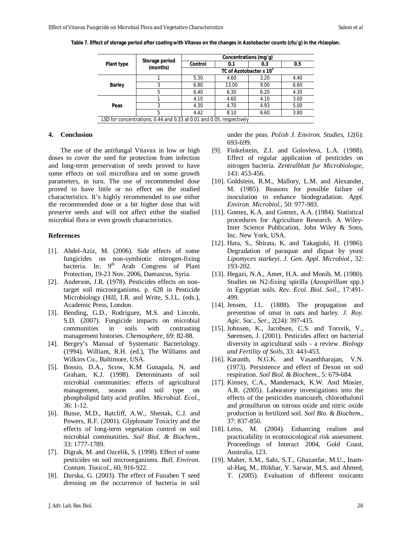|   | Concentrations (mg/g)               |       |      |      |  |
|---|-------------------------------------|-------|------|------|--|
|   | <b>Control</b>                      | 0.1   | 0.3  | 0.5  |  |
|   | TC of Azotobacter x 10 <sup>°</sup> |       |      |      |  |
|   | 5.30                                | 4.60  | 3.20 | 4.40 |  |
| 3 | 6.80                                | 13.00 | 9.00 | 6.60 |  |
| 5 | 6.40                                | 6.30  | 6.20 | 4.30 |  |
|   | 4.10                                | 4.60  | 4.10 | 3.00 |  |
| 3 | 4.30                                | 4.70  | 4.93 | 5.00 |  |
| 5 | 4.42                                | 8.10  | 6.60 | 3.80 |  |
|   | Storage period<br>(months)          |       |      |      |  |

**Table 7. Effect of storage period after coating with Vitavax on the changes in** *Azotobacter* **counts (cfu/g) in the rhizoplan.**

#### **4. Conclusion**

The use of the antifungal Vitavax in low or high doses to cover the seed for protection from infection and long-term preservation of seeds proved to have some effects on soil microflora and on some growth parameters, in turn. The use of recommended dose proved to have little or no effect on the studied characteristics. It's highly recommended to use either the recommended dose or a bit higher dose that will preserve seeds and will not affect either the studied microbial flora or even growth characteristics.

#### **References**

- [1]. Abdel-Aziz, M. (2006). Side effects of some fungicides on non-symbiotic nitrogen-fixing bacteria. In: 9<sup>th</sup> Arab Congress of Plant Protection, 19-23 Nov. 2006, Damascus, Syria.
- [2]. Anderson, J.R. (1978). Pesticides effects on nontarget soil microorganisms. p. 628 in Pesticide Microbiology (Hill, I.R. and Write, S.J.L. (eds.), Academic Press, London.
- [3]. Bending, G.D., Rodriguez, M.S. and Lincoln, S.D. (2007). Fungicide impacts on microbial communities in soils with contrasting management histories. *Chemosphere*, 69: 82-88.
- [4]. Bergey's Manual of Systematic Bacteriology. (1994). William, R.H. (ed.), The Williams and Wilkins Co., Baltimore, USA.
- [5]. Bossio, D.A., Scow, K.M Gunapala, N. and Graham, K.J. (1998). Determinants of soil microbial communities: effects of agricultural management, season and soil type on phospholipid fatty acid profiles. *Microbial. Ecol.*, 36: 1-12.
- [6]. Busse, M.D., Ratcliff, A.W., Shestak, C.J. and Powers, R.F. (2001). Glyphosate Toxicity and the effects of long-term vegetation control on soil microbial communities. *Soil Biol. & Biochem.*, 33: 1777-1789.
- [7]. Digrak, M. and Ozcelik, S. (1998). Effect of some pesticides on soil microorganisms. *Bull. Environ. Contam. Toxicol.*, 60, 916-922.
- [8]. Durska, G. (2003). The effect of Funaben T seed dressing on the occurrence of bacteria in soil

under the peas. *Polish J. Environ. Studies,* 12(6): 693-699.

- [9]. Finkelstein, Z.I. and Golovleva, L.A. (1988). Effect of regular application of pesticides on nitrogen bacteria. *Zentralblatt fur Microbiologie,* 143: 453-456.
- [10]. Goldstein, R.M., Mallory, L.M. and Alexander, M. (1985). Reasons for possible failure of inoculation to enhance biodegradation. *Appl. Environ. Microbiol.*, 50: 977-983.
- [11]. Gomez, K.A. and Gomez, A.A. (1984). Statistical procedures for Agriculture Research. A Wiley-Inter Science Publication, John Wiley & Sons, Inc. New York, USA.
- [12]. Hata, S., Shirata, K. and Takagishi, H. (1986). Degradation of paraquat and diquat by yeast *Lipomyces starkeyi*. *J. Gen. Appl. Microbiol.*, 32: 193-202.
- [13]. Hegazi, N.A., Amer, H.A. and Monib, M. (1980). Studies on N2-fixing spirilla (*Azospirillum* spp.) in Egyptian soils. *Rev. Ecol. Biol. Soil.,* 17:491- 499.
- [14]. Jensen, J.L. (1888). The propagation and prevention of smut in oats and barley. *J. Roy. Agic. Soc., Ser.*, 2(24): 397-415.
- [15]. Johnsen, K., Jacobsen, C.S. and Torsvik, V., Sørensen, J. (2001). Pesticides affect on bacterial diversity in agricultural soils - a review. *Biology and Fertility of Soils,* 33: 443-453.
- [16]. Karanth, N.G.K. and Vasanthharajan, V.N. (1973). Persistence and effect of Dexon on soil respiration. *Soil Biol. & Biochem.*, 5: 679-684.
- [17]. Kinney, C.A., Mandernack, K.W. And Mosier, A.R. (2005). Laboratory investigations into the effects of the pesticides mancozeb, chlorothalonil and prosulfuron on nitrous oxide and nitric oxide production in fertilized soil. *Soil Bio. & Biochem.*, 37: 837-850.
- [18]. Leiss, M. (2004). Enhancing realism and practicability in ecotoxicological risk assessment. Proceedings of Interact 2004, Gold Coast, Australia, 123.
- [19]. Maher, S.M., Sahi, S.T., Ghazanfar, M.U., Inamul-Haq, M., Iftikhar, Y. Sarwar, M.S. and Ahmed, T. (2005). Evaluation of different toxicants